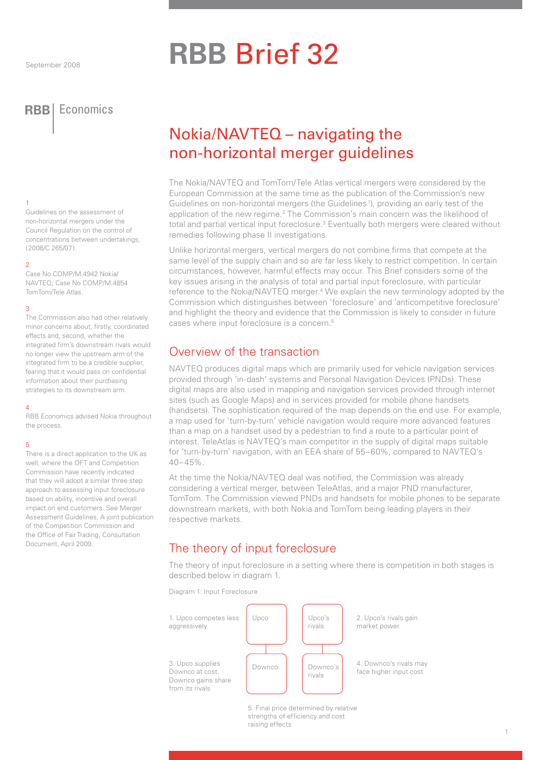# **RBB** Brief 32

**RBB** Economics

#### 1

Guidelines on the assessment of non-horizontal mergers under the Council Regulation on the control of concentrations between undertakings, (2008/C 265/07).

#### $\mathcal{D}$

Case No COMP/M.4942 Nokia/ NAVTEQ; Case No COMP/M.4854 TomTom/Tele Atlas.

#### 3

The Commission also had other relatively minor concerns about, firstly, coordinated effects and, second, whether the integrated firm's downstream rivals would no longer view the upstream arm of the integrated firm to be a credible supplier fearing that it would pass on confidential information about their purchasing strategies to its downstream arm.

#### 4

RBB Economics advised Nokia throughout the process.

#### 5

There is a direct application to the UK as well, where the OFT and Competition Commission have recently indicated that they will adopt a similar three step approach to assessing input foreclosure based on ability, incentive and overall impact on end customers. See Merger Assessment Guidelines, A joint publication of the Competition Commission and the Office of Fair Trading, Consultation Document, April 2009.

## Nokia/NAVTEQ – navigating the non-horizontal merger guidelines

The Nokia/NAVTEQ and TomTom/Tele Atlas vertical mergers were considered by the European Commission at the same time as the publication of the Commission's new Guidelines on non-horizontal mergers (the Guidelines<sup>1</sup>), providing an early test of the application of the new regime.<sup>2</sup> The Commission's main concern was the likelihood of total and partial vertical input foreclosure.<sup>3</sup> Eventually both mergers were cleared without remedies following phase II investigations.

Unlike horizontal mergers, vertical mergers do not combine firms that compete at the same level of the supply chain and so are far less likely to restrict competition. In certain circumstances, however, harmful effects may occur. This Brief considers some of the key issues arising in the analysis of total and partial input foreclosure, with particular reference to the Nokia/NAVTEQ merger.<sup>4</sup> We explain the new terminology adopted by the Commission which distinguishes between 'foreclosure' and 'anticompetitive foreclosure' and highlight the theory and evidence that the Commission is likely to consider in future cases where input foreclosure is a concern.5

## Overview of the transaction

NAVTEQ produces digital maps which are primarily used for vehicle navigation services provided through 'in-dash' systems and Personal Navigation Devices (PNDs). These digital maps are also used in mapping and navigation services provided through internet sites (such as Google Maps) and in services provided for mobile phone handsets (handsets). The sophistication required of the map depends on the end use. For example, a map used for 'turn-by-turn' vehicle navigation would require more advanced features than a map on a handset used by a pedestrian to find a route to a particular point of interest. TeleAtlas is NAVTEQ's main competitor in the supply of digital maps suitable for 'turn-by-turn' navigation, with an EEA share of 55–60%, compared to NAVTEQ's 40–45%.

At the time the Nokia/NAVTEQ deal was notified, the Commission was already considering a vertical merger, between TeleAtlas, and a major PND manufacturer, TomTom. The Commission viewed PNDs and handsets for mobile phones to be separate downstream markets, with both Nokia and TomTom being leading players in their respective markets.

## The theory of input foreclosure

The theory of input foreclosure in a setting where there is competition in both stages is described below in diagram 1.

Diagram 1: Input Foreclosure



5. Final price determined by relative strengths of efficiency and cost raising effects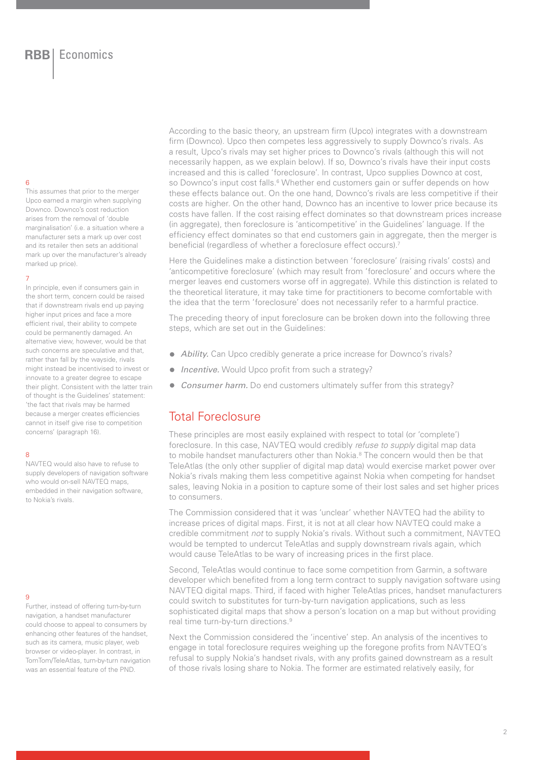#### 6

This assumes that prior to the merger Upco earned a margin when supplying Downco. Downco's cost reduction arises from the removal of 'double marginalisation' (i.e. a situation where a manufacturer sets a mark up over cost and its retailer then sets an additional mark up over the manufacturer's already marked up price).

#### 7

In principle, even if consumers gain in the short term, concern could be raised that if downstream rivals end up paying higher input prices and face a more efficient rival, their ability to compete could be permanently damaged. An alternative view, however, would be that such concerns are speculative and that, rather than fall by the wayside, rivals might instead be incentivised to invest or innovate to a greater degree to escape their plight. Consistent with the latter train of thought is the Guidelines' statement: 'the fact that rivals may be harmed because a merger creates efficiencies cannot in itself give rise to competition concerns' (paragraph 16).

#### 8

NAVTEQ would also have to refuse to supply developers of navigation software who would on-sell NAVTEQ maps. embedded in their navigation software, to Nokia's rivals.

#### $\overline{Q}$

Further, instead of offering turn-by-turn navigation, a handset manufacturer could choose to appeal to consumers by enhancing other features of the handset, such as its camera, music player, web browser or video-player. In contrast, in TomTom/TeleAtlas, turn-by-turn navigation was an essential feature of the PND.

According to the basic theory, an upstream firm (Upco) integrates with a downstream firm (Downco). Upco then competes less aggressively to supply Downco's rivals. As a result, Upco's rivals may set higher prices to Downco's rivals (although this will not necessarily happen, as we explain below). If so, Downco's rivals have their input costs increased and this is called 'foreclosure'. In contrast, Upco supplies Downco at cost, so Downco's input cost falls.<sup>6</sup> Whether end customers gain or suffer depends on how these effects balance out. On the one hand, Downco's rivals are less competitive if their costs are higher. On the other hand, Downco has an incentive to lower price because its costs have fallen. If the cost raising effect dominates so that downstream prices increase (in aggregate), then foreclosure is 'anticompetitive' in the Guidelines' language. If the efficiency effect dominates so that end customers gain in aggregate, then the merger is beneficial (regardless of whether a foreclosure effect occurs).<sup>7</sup>

Here the Guidelines make a distinction between 'foreclosure' (raising rivals' costs) and 'anticompetitive foreclosure' (which may result from 'foreclosure' and occurs where the merger leaves end customers worse off in aggregate). While this distinction is related to the theoretical literature, it may take time for practitioners to become comfortable with the idea that the term 'foreclosure' does not necessarily refer to a harmful practice.

The preceding theory of input foreclosure can be broken down into the following three steps, which are set out in the Guidelines:

- *Ability.* Can Upco credibly generate a price increase for Downco's rivals?
- *Incentive.* Would Upco profit from such a strategy?
- *Consumer harm.* Do end customers ultimately suffer from this strategy?

### Total Foreclosure

These principles are most easily explained with respect to total (or 'complete') foreclosure. In this case, NAVTEQ would credibly *refuse to supply* digital map data to mobile handset manufacturers other than Nokia.<sup>8</sup> The concern would then be that TeleAtlas (the only other supplier of digital map data) would exercise market power over Nokia's rivals making them less competitive against Nokia when competing for handset sales, leaving Nokia in a position to capture some of their lost sales and set higher prices to consumers.

The Commission considered that it was 'unclear' whether NAVTEQ had the ability to increase prices of digital maps. First, it is not at all clear how NAVTEQ could make a credible commitment *not* to supply Nokia's rivals. Without such a commitment, NAVTEQ would be tempted to undercut TeleAtlas and supply downstream rivals again, which would cause TeleAtlas to be wary of increasing prices in the first place.

Second, TeleAtlas would continue to face some competition from Garmin, a software developer which benefited from a long term contract to supply navigation software using NAVTEQ digital maps. Third, if faced with higher TeleAtlas prices, handset manufacturers could switch to substitutes for turn-by-turn navigation applications, such as less sophisticated digital maps that show a person's location on a map but without providing real time turn-by-turn directions.9

Next the Commission considered the 'incentive' step. An analysis of the incentives to engage in total foreclosure requires weighing up the foregone profits from NAVTEQ's refusal to supply Nokia's handset rivals, with any profits gained downstream as a result of those rivals losing share to Nokia. The former are estimated relatively easily, for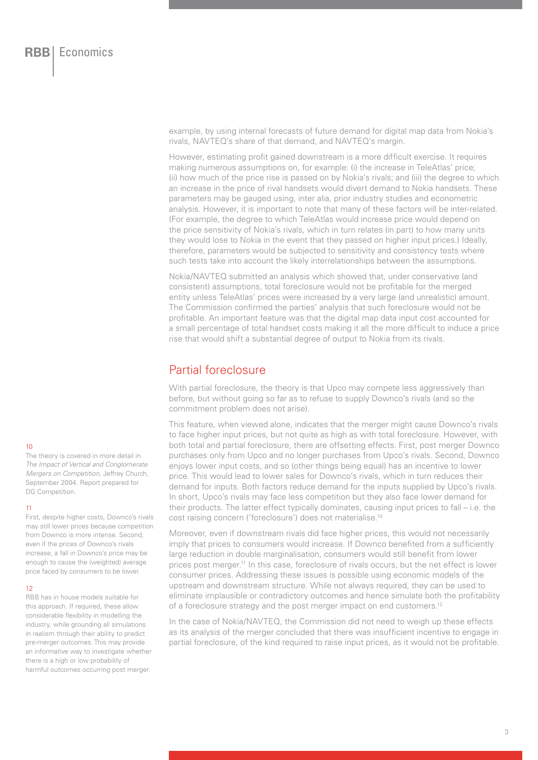example, by using internal forecasts of future demand for digital map data from Nokia's rivals, NAVTEQ's share of that demand, and NAVTEQ's margin.

However, estimating profit gained downstream is a more difficult exercise. It requires making numerous assumptions on, for example: (i) the increase in TeleAtlas' price; (ii) how much of the price rise is passed on by Nokia's rivals; and (iii) the degree to which an increase in the price of rival handsets would divert demand to Nokia handsets. These parameters may be gauged using, inter alia, prior industry studies and econometric analysis. However, it is important to note that many of these factors will be inter-related. (For example, the degree to which TeleAtlas would increase price would depend on the price sensitivity of Nokia's rivals, which in turn relates (in part) to how many units they would lose to Nokia in the event that they passed on higher input prices.) Ideally, therefore, parameters would be subjected to sensitivity and consistency tests where such tests take into account the likely interrelationships between the assumptions.

Nokia/NAVTEQ submitted an analysis which showed that, under conservative (and consistent) assumptions, total foreclosure would not be profitable for the merged entity unless TeleAtlas' prices were increased by a very large (and unrealistic) amount. The Commission confirmed the parties' analysis that such foreclosure would not be profitable. An important feature was that the digital map data input cost accounted for a small percentage of total handset costs making it all the more difficult to induce a price rise that would shift a substantial degree of output to Nokia from its rivals.

## Partial foreclosure

With partial foreclosure, the theory is that Upco may compete less aggressively than before, but without going so far as to refuse to supply Downco's rivals (and so the commitment problem does not arise).

This feature, when viewed alone, indicates that the merger might cause Downco's rivals to face higher input prices, but not quite as high as with total foreclosure. However, with both total and partial foreclosure, there are offsetting effects. First, post merger Downco purchases only from Upco and no longer purchases from Upco's rivals. Second, Downco enjoys lower input costs, and so (other things being equal) has an incentive to lower price. This would lead to lower sales for Downco's rivals, which in turn reduces their demand for inputs. Both factors reduce demand for the inputs supplied by Upco's rivals. In short, Upco's rivals may face less competition but they also face lower demand for their products. The latter effect typically dominates, causing input prices to fall – i.e. the cost raising concern ('foreclosure') does not materialise.10

Moreover, even if downstream rivals did face higher prices, this would not necessarily imply that prices to consumers would increase. If Downco benefited from a sufficiently large reduction in double marginalisation, consumers would still benefit from lower prices post merger.11 In this case, foreclosure of rivals occurs, but the net effect is lower consumer prices. Addressing these issues is possible using economic models of the upstream and downstream structure. While not always required, they can be used to eliminate implausible or contradictory outcomes and hence simulate both the profitability of a foreclosure strategy and the post merger impact on end customers.<sup>12</sup>

In the case of Nokia/NAVTEQ, the Commission did not need to weigh up these effects as its analysis of the merger concluded that there was insufficient incentive to engage in partial foreclosure, of the kind required to raise input prices, as it would not be profitable.

#### $10$

The theory is covered in more detail in *The Impact of Vertical and Conglomerate Mergers on Competition,* Jeffrey Church, September 2004. Report prepared for DG Competition.

#### 11

First, despite higher costs, Downco's rivals may still lower prices because competition from Downco is more intense. Second, even if the prices of Downco's rivals increase, a fall in Downco's price may be enough to cause the (weighted) average price faced by consumers to be lower.

#### 12

RBB has in house models suitable for this approach. If required, these allow considerable flexibility in modelling the industry, while grounding all simulations in realism through their ability to predict pre-merger outcomes. This may provide an informative way to investigate whether there is a high or low probability of harmful outcomes occurring post merger.